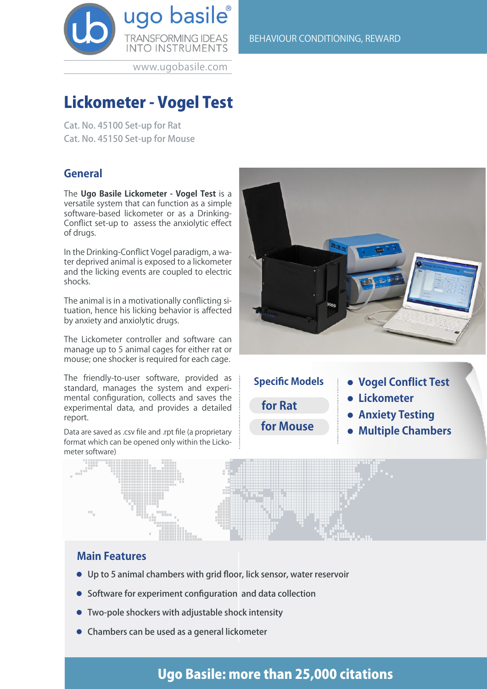

www.ugobasile.com

# Lickometer - Vogel Test

Cat. No. 45100 Set-up for Rat Cat. No. 45150 Set-up for Mouse

## **General**

The **Ugo Basile Lickometer - Vogel Test** is a versatile system that can function as a simple software-based lickometer or as a Drinking-Conflict set-up to assess the anxiolytic effect of drugs.

In the Drinking-Conflict Vogel paradigm, a water deprived animal is exposed to a lickometer and the licking events are coupled to electric shocks.

The animal is in a motivationally conflicting situation, hence his licking behavior is affected by anxiety and anxiolytic drugs.

The Lickometer controller and software can manage up to 5 animal cages for either rat or mouse; one shocker is required for each cage.

The friendly-to-user software, provided as standard, manages the system and experimental configuration, collects and saves the experimental data, and provides a detailed report.

Data are saved as .csv file and .rpt file (a proprietary format which can be opened only within the Lickometer software)



**Specific Models**

- **for Rat for Mouse**
- **Vogel Conflict Test**
- **Lickometer**
- **Anxiety Testing**
- **Multiple Chambers**



# **Main Features**

- Up to 5 animal chambers with grid floor, lick sensor, water reservoir
- Software for experiment configuration and data collection
- **•** Two-pole shockers with adjustable shock intensity
- **•** Chambers can be used as a general lickometer

# Ugo Basile: more than 25,000 citations